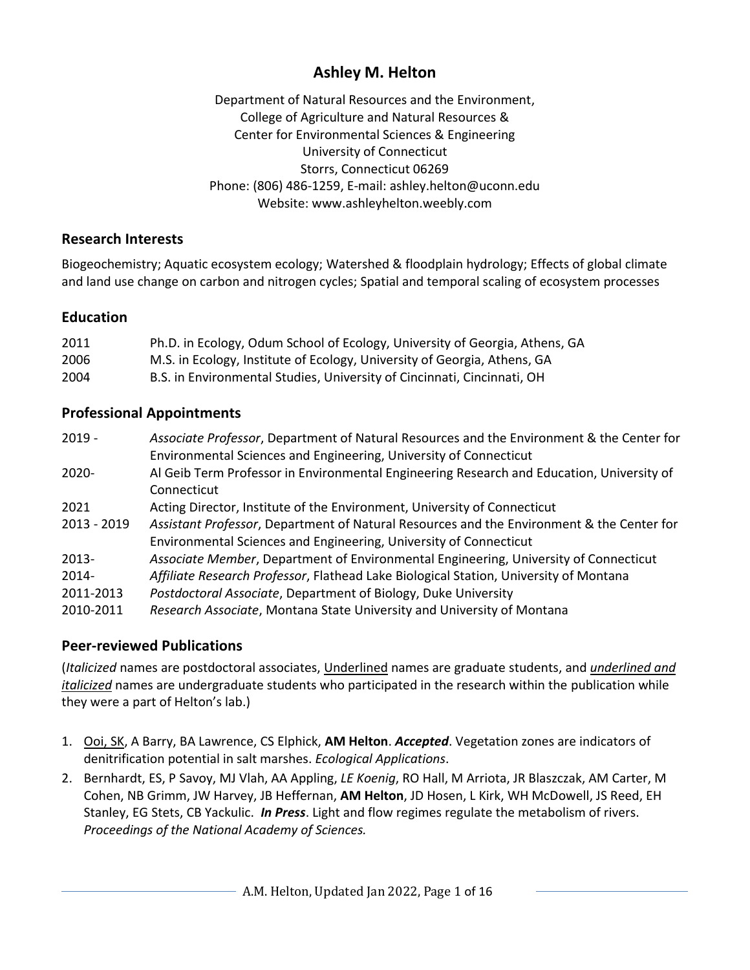# **Ashley M. Helton**

Department of Natural Resources and the Environment, College of Agriculture and Natural Resources & Center for Environmental Sciences & Engineering University of Connecticut Storrs, Connecticut 06269 Phone: (806) 486-1259, E-mail: ashley.helton@uconn.edu Website: www.ashleyhelton.weebly.com

#### **Research Interests**

Biogeochemistry; Aquatic ecosystem ecology; Watershed & floodplain hydrology; Effects of global climate and land use change on carbon and nitrogen cycles; Spatial and temporal scaling of ecosystem processes

## **Education**

| 2011 | Ph.D. in Ecology, Odum School of Ecology, University of Georgia, Athens, GA |
|------|-----------------------------------------------------------------------------|
| 2006 | M.S. in Ecology, Institute of Ecology, University of Georgia, Athens, GA    |
| 2004 | B.S. in Environmental Studies, University of Cincinnati, Cincinnati, OH     |

# **Professional Appointments**

| Associate Professor, Department of Natural Resources and the Environment & the Center for |
|-------------------------------------------------------------------------------------------|
| Environmental Sciences and Engineering, University of Connecticut                         |
| Al Geib Term Professor in Environmental Engineering Research and Education, University of |
| Connecticut                                                                               |
| Acting Director, Institute of the Environment, University of Connecticut                  |
| Assistant Professor, Department of Natural Resources and the Environment & the Center for |
| Environmental Sciences and Engineering, University of Connecticut                         |
| Associate Member, Department of Environmental Engineering, University of Connecticut      |
| Affiliate Research Professor, Flathead Lake Biological Station, University of Montana     |
| Postdoctoral Associate, Department of Biology, Duke University                            |
| Research Associate, Montana State University and University of Montana                    |
|                                                                                           |

## **Peer-reviewed Publications**

(*Italicized* names are postdoctoral associates, Underlined names are graduate students, and *underlined and italicized* names are undergraduate students who participated in the research within the publication while they were a part of Helton's lab.)

- 1. Ooi, SK, A Barry, BA Lawrence, CS Elphick, **AM Helton**. *Accepted*. Vegetation zones are indicators of denitrification potential in salt marshes. *Ecological Applications*.
- 2. Bernhardt, ES, P Savoy, MJ Vlah, AA Appling, *LE Koenig*, RO Hall, M Arriota, JR Blaszczak, AM Carter, M Cohen, NB Grimm, JW Harvey, JB Heffernan, **AM Helton**, JD Hosen, L Kirk, WH McDowell, JS Reed, EH Stanley, EG Stets, CB Yackulic. *In Press*. Light and flow regimes regulate the metabolism of rivers. *Proceedings of the National Academy of Sciences.*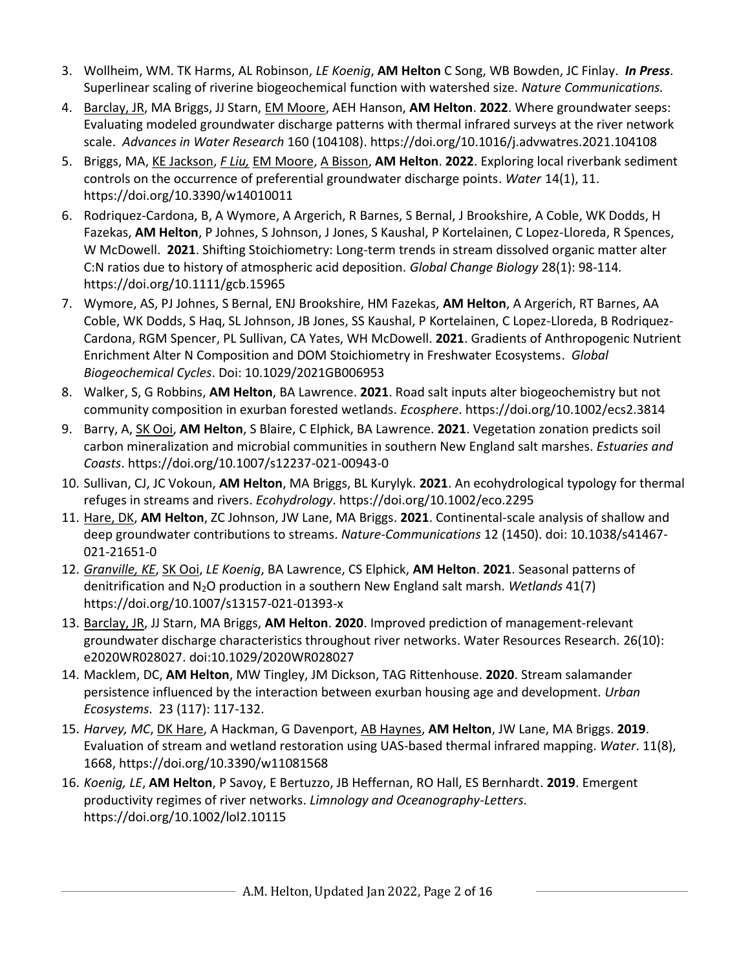- 3. Wollheim, WM. TK Harms, AL Robinson, *LE Koenig*, **AM Helton** C Song, WB Bowden, JC Finlay. *In Press*. Superlinear scaling of riverine biogeochemical function with watershed size. *Nature Communications.*
- 4. Barclay, JR, MA Briggs, JJ Starn, EM Moore, AEH Hanson, **AM Helton**. **2022**. Where groundwater seeps: Evaluating modeled groundwater discharge patterns with thermal infrared surveys at the river network scale. *Advances in Water Research* 160 (104108).<https://doi.org/10.1016/j.advwatres.2021.104108>
- 5. Briggs, MA, KE Jackson, *F Liu,* EM Moore, A Bisson, **AM Helton**. **2022**. Exploring local riverbank sediment controls on the occurrence of preferential groundwater discharge points. *Water* 14(1), 11. https://doi.org/10.3390/w14010011
- 6. Rodriquez-Cardona, B, A Wymore, A Argerich, R Barnes, S Bernal, J Brookshire, A Coble, WK Dodds, H Fazekas, **AM Helton**, P Johnes, S Johnson, J Jones, S Kaushal, P Kortelainen, C Lopez-Lloreda, R Spences, W McDowell. **2021**. Shifting Stoichiometry: Long-term trends in stream dissolved organic matter alter C:N ratios due to history of atmospheric acid deposition. *Global Change Biology* 28(1): 98-114*.*  https://doi.org/10.1111/gcb.15965
- 7. Wymore, AS, PJ Johnes, S Bernal, ENJ Brookshire, HM Fazekas, **AM Helton**, A Argerich, RT Barnes, AA Coble, WK Dodds, S Haq, SL Johnson, JB Jones, SS Kaushal, P Kortelainen, C Lopez-Lloreda, B Rodriquez-Cardona, RGM Spencer, PL Sullivan, CA Yates, WH McDowell. **2021**. Gradients of Anthropogenic Nutrient Enrichment Alter N Composition and DOM Stoichiometry in Freshwater Ecosystems. *Global Biogeochemical Cycles*. Doi: 10.1029/2021GB006953
- 8. Walker, S, G Robbins, **AM Helton**, BA Lawrence. **2021**. Road salt inputs alter biogeochemistry but not community composition in exurban forested wetlands. *Ecosphere*. https://doi.org/10.1002/ecs2.3814
- 9. Barry, A, SK Ooi, **AM Helton**, S Blaire, C Elphick, BA Lawrence. **2021**. Vegetation zonation predicts soil carbon mineralization and microbial communities in southern New England salt marshes. *Estuaries and Coasts*. https://doi.org/10.1007/s12237-021-00943-0
- 10. Sullivan, CJ, JC Vokoun, **AM Helton**, MA Briggs, BL Kurylyk. **2021**. An ecohydrological typology for thermal refuges in streams and rivers. *Ecohydrology*. https://doi.org/10.1002/eco.2295
- 11. Hare, DK, **AM Helton**, ZC Johnson, JW Lane, MA Briggs. **2021**. Continental-scale analysis of shallow and deep groundwater contributions to streams. *Nature-Communications* 12 (1450). doi: 10.1038/s41467- 021-21651-0
- 12. *Granville, KE*, SK Ooi, *LE Koenig*, BA Lawrence, CS Elphick, **AM Helton**. **2021**. Seasonal patterns of denitrification and N2O production in a southern New England salt marsh. *Wetlands* 41(7) https://doi.org/10.1007/s13157-021-01393-x
- 13. Barclay, JR, JJ Starn, MA Briggs, **AM Helton**. **2020**. Improved prediction of management-relevant groundwater discharge characteristics throughout river networks. Water Resources Research. 26(10): e2020WR028027. doi:10.1029/2020WR028027
- 14. Macklem, DC, **AM Helton**, MW Tingley, JM Dickson, TAG Rittenhouse. **2020**. Stream salamander persistence influenced by the interaction between exurban housing age and development. *Urban Ecosystems*. 23 (117): 117-132.
- 15. *Harvey, MC*, DK Hare, A Hackman, G Davenport, AB Haynes, **AM Helton**, JW Lane, MA Briggs. **2019**. Evaluation of stream and wetland restoration using UAS-based thermal infrared mapping. *Water*. 11(8), 1668, https://doi.org/10.3390/w11081568
- 16. *Koenig, LE*, **AM Helton**, P Savoy, E Bertuzzo, JB Heffernan, RO Hall, ES Bernhardt. **2019**. Emergent productivity regimes of river networks. *Limnology and Oceanography-Letters*. https://doi.org/10.1002/lol2.10115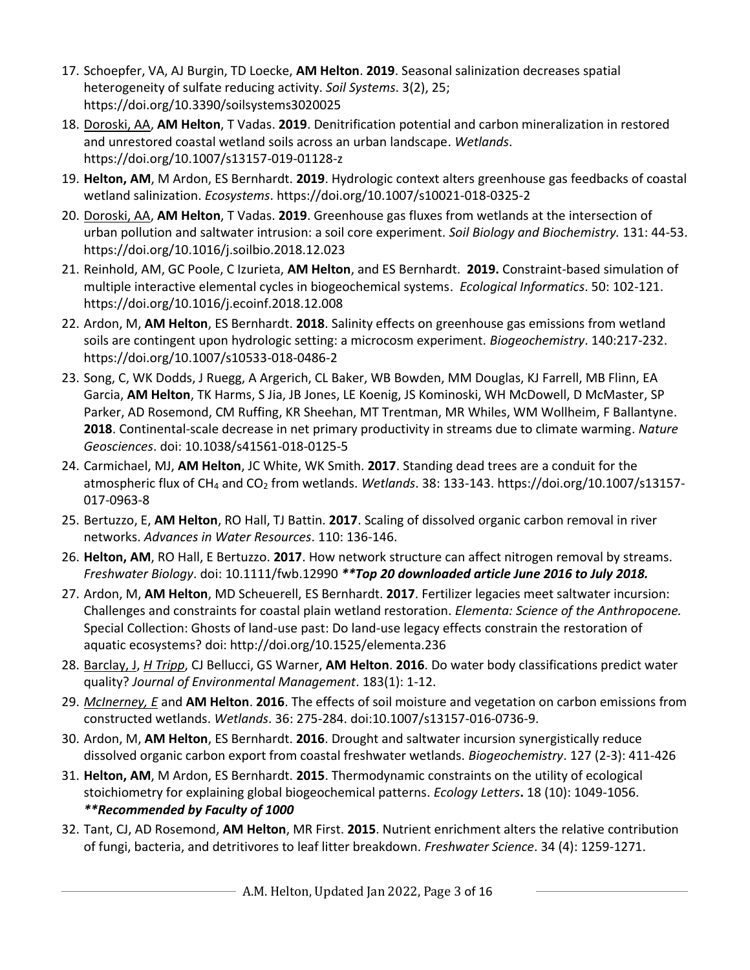- 17. Schoepfer, VA, AJ Burgin, TD Loecke, **AM Helton**. **2019**. Seasonal salinization decreases spatial heterogeneity of sulfate reducing activity. *Soil Systems*. 3(2), 25; https://doi.org/10.3390/soilsystems3020025
- 18. Doroski, AA, **AM Helton**, T Vadas. **2019**. Denitrification potential and carbon mineralization in restored and unrestored coastal wetland soils across an urban landscape. *Wetlands*. https://doi.org/10.1007/s13157-019-01128-z
- 19. **Helton, AM**, M Ardon, ES Bernhardt. **2019**. Hydrologic context alters greenhouse gas feedbacks of coastal wetland salinization. *Ecosystems*. https://doi.org/10.1007/s10021-018-0325-2
- 20. Doroski, AA, **AM Helton**, T Vadas. **2019**. Greenhouse gas fluxes from wetlands at the intersection of urban pollution and saltwater intrusion: a soil core experiment. *Soil Biology and Biochemistry.* 131: 44-53. https://doi.org/10.1016/j.soilbio.2018.12.023
- 21. Reinhold, AM, GC Poole, C Izurieta, **AM Helton**, and ES Bernhardt. **2019.** Constraint-based simulation of multiple interactive elemental cycles in biogeochemical systems. *Ecological Informatics*. 50: 102-121. https://doi.org/10.1016/j.ecoinf.2018.12.008
- 22. Ardon, M, **AM Helton**, ES Bernhardt. **2018**. Salinity effects on greenhouse gas emissions from wetland soils are contingent upon hydrologic setting: a microcosm experiment. *Biogeochemistry*. 140:217-232. https://doi.org/10.1007/s10533-018-0486-2
- 23. Song, C, WK Dodds, J Ruegg, A Argerich, CL Baker, WB Bowden, MM Douglas, KJ Farrell, MB Flinn, EA Garcia, **AM Helton**, TK Harms, S Jia, JB Jones, LE Koenig, JS Kominoski, WH McDowell, D McMaster, SP Parker, AD Rosemond, CM Ruffing, KR Sheehan, MT Trentman, MR Whiles, WM Wollheim, F Ballantyne. **2018**. Continental-scale decrease in net primary productivity in streams due to climate warming. *Nature Geosciences*. doi: 10.1038/s41561-018-0125-5
- 24. Carmichael, MJ, **AM Helton**, JC White, WK Smith. **2017**. Standing dead trees are a conduit for the atmospheric flux of CH<sup>4</sup> and CO<sup>2</sup> from wetlands. *Wetlands*. 38: 133-143. https://doi.org/10.1007/s13157- 017-0963-8
- 25. Bertuzzo, E, **AM Helton**, RO Hall, TJ Battin. **2017**. Scaling of dissolved organic carbon removal in river networks. *Advances in Water Resources*. 110: 136-146.
- 26. **Helton, AM**, RO Hall, E Bertuzzo. **2017**. How network structure can affect nitrogen removal by streams. *Freshwater Biology*. doi: 10.1111/fwb.12990 *\*\*Top 20 downloaded article June 2016 to July 2018.*
- 27. Ardon, M, **AM Helton**, MD Scheuerell, ES Bernhardt. **2017**. Fertilizer legacies meet saltwater incursion: Challenges and constraints for coastal plain wetland restoration. *Elementa: Science of the Anthropocene.*  Special Collection: Ghosts of land-use past: Do land-use legacy effects constrain the restoration of aquatic ecosystems? doi: http://doi.org/10.1525/elementa.236
- 28. Barclay, J, *H Tripp*, CJ Bellucci, GS Warner, **AM Helton**. **2016**. Do water body classifications predict water quality? *Journal of Environmental Management*. 183(1): 1-12.
- 29. *McInerney, E* and **AM Helton**. **2016**. The effects of soil moisture and vegetation on carbon emissions from constructed wetlands. *Wetlands*. 36: 275-284. doi:10.1007/s13157-016-0736-9.
- 30. Ardon, M, **AM Helton**, ES Bernhardt. **2016**. Drought and saltwater incursion synergistically reduce dissolved organic carbon export from coastal freshwater wetlands. *Biogeochemistry*. 127 (2-3): 411-426
- 31. **Helton, AM**, M Ardon, ES Bernhardt. **2015**. Thermodynamic constraints on the utility of ecological stoichiometry for explaining global biogeochemical patterns. *Ecology Letters***.** 18 (10): 1049-1056. *\*\*Recommended by Faculty of 1000*
- 32. Tant, CJ, AD Rosemond, **AM Helton**, MR First. **2015**. Nutrient enrichment alters the relative contribution of fungi, bacteria, and detritivores to leaf litter breakdown. *Freshwater Science*. 34 (4): 1259-1271.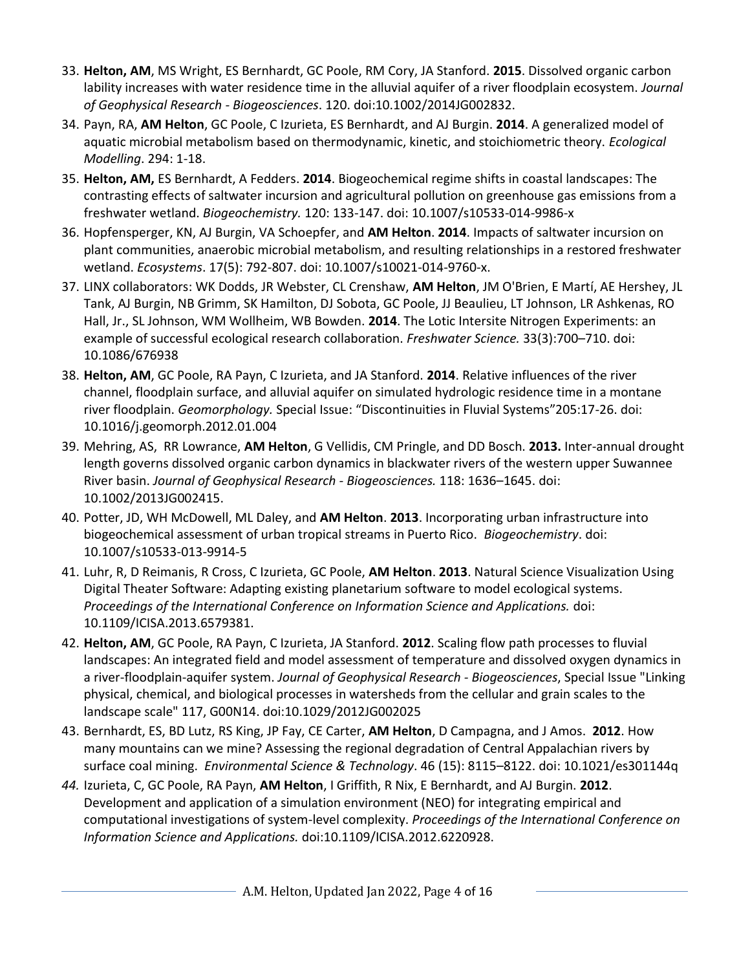- 33. **Helton, AM**, MS Wright, ES Bernhardt, GC Poole, RM Cory, JA Stanford. **2015**. Dissolved organic carbon lability increases with water residence time in the alluvial aquifer of a river floodplain ecosystem. *Journal of Geophysical Research - Biogeosciences*. 120. doi:10.1002/2014JG002832.
- 34. Payn, RA, **AM Helton**, GC Poole, C Izurieta, ES Bernhardt, and AJ Burgin. **2014**. A generalized model of aquatic microbial metabolism based on thermodynamic, kinetic, and stoichiometric theory. *Ecological Modelling*. 294: 1-18.
- 35. **Helton, AM,** ES Bernhardt, A Fedders. **2014**. Biogeochemical regime shifts in coastal landscapes: The contrasting effects of saltwater incursion and agricultural pollution on greenhouse gas emissions from a freshwater wetland. *Biogeochemistry.* 120: 133-147. doi: 10.1007/s10533-014-9986-x
- 36. Hopfensperger, KN, AJ Burgin, VA Schoepfer, and **AM Helton**. **2014**. Impacts of saltwater incursion on plant communities, anaerobic microbial metabolism, and resulting relationships in a restored freshwater wetland. *Ecosystems*. 17(5): 792-807. doi: 10.1007/s10021-014-9760-x.
- 37. LINX collaborators: WK Dodds, JR Webster, CL Crenshaw, **AM Helton**, JM O'Brien, E Martí, AE Hershey, JL Tank, AJ Burgin, NB Grimm, SK Hamilton, DJ Sobota, GC Poole, JJ Beaulieu, LT Johnson, LR Ashkenas, RO Hall, Jr., SL Johnson, WM Wollheim, WB Bowden. **2014**. The Lotic Intersite Nitrogen Experiments: an example of successful ecological research collaboration. *Freshwater Science.* 33(3):700–710. doi: 10.1086/676938
- 38. **Helton, AM**, GC Poole, RA Payn, C Izurieta, and JA Stanford. **2014**. Relative influences of the river channel, floodplain surface, and alluvial aquifer on simulated hydrologic residence time in a montane river floodplain. *Geomorphology.* Special Issue: "Discontinuities in Fluvial Systems"205:17-26. doi: 10.1016/j.geomorph.2012.01.004
- 39. Mehring, AS, RR Lowrance, **AM Helton**, G Vellidis, CM Pringle, and DD Bosch. **2013.** Inter-annual drought length governs dissolved organic carbon dynamics in blackwater rivers of the western upper Suwannee River basin. *Journal of Geophysical Research - Biogeosciences.* 118: 1636–1645. doi: 10.1002/2013JG002415.
- 40. Potter, JD, WH McDowell, ML Daley, and **AM Helton**. **2013**. Incorporating urban infrastructure into biogeochemical assessment of urban tropical streams in Puerto Rico. *Biogeochemistry*. doi: 10.1007/s10533-013-9914-5
- 41. Luhr, R, D Reimanis, R Cross, C Izurieta, GC Poole, **AM Helton**. **2013**. Natural Science Visualization Using Digital Theater Software: Adapting existing planetarium software to model ecological systems. *Proceedings of the International Conference on Information Science and Applications.* doi: 10.1109/ICISA.2013.6579381.
- 42. **Helton, AM**, GC Poole, RA Payn, C Izurieta, JA Stanford. **2012**. Scaling flow path processes to fluvial landscapes: An integrated field and model assessment of temperature and dissolved oxygen dynamics in a river-floodplain-aquifer system. *Journal of Geophysical Research - Biogeosciences*, Special Issue "Linking physical, chemical, and biological processes in watersheds from the cellular and grain scales to the landscape scale" 117, G00N14. doi:10.1029/2012JG002025
- 43. Bernhardt, ES, BD Lutz, RS King, JP Fay, CE Carter, **AM Helton**, D Campagna, and J Amos. **2012**. How many mountains can we mine? Assessing the regional degradation of Central Appalachian rivers by surface coal mining. *Environmental Science & Technology*. 46 (15): 8115–8122. doi: 10.1021/es301144q
- *44.* Izurieta, C, GC Poole, RA Payn, **AM Helton**, I Griffith, R Nix, E Bernhardt, and AJ Burgin. **2012**. Development and application of a simulation environment (NEO) for integrating empirical and computational investigations of system-level complexity. *Proceedings of the International Conference on Information Science and Applications.* doi:10.1109/ICISA.2012.6220928.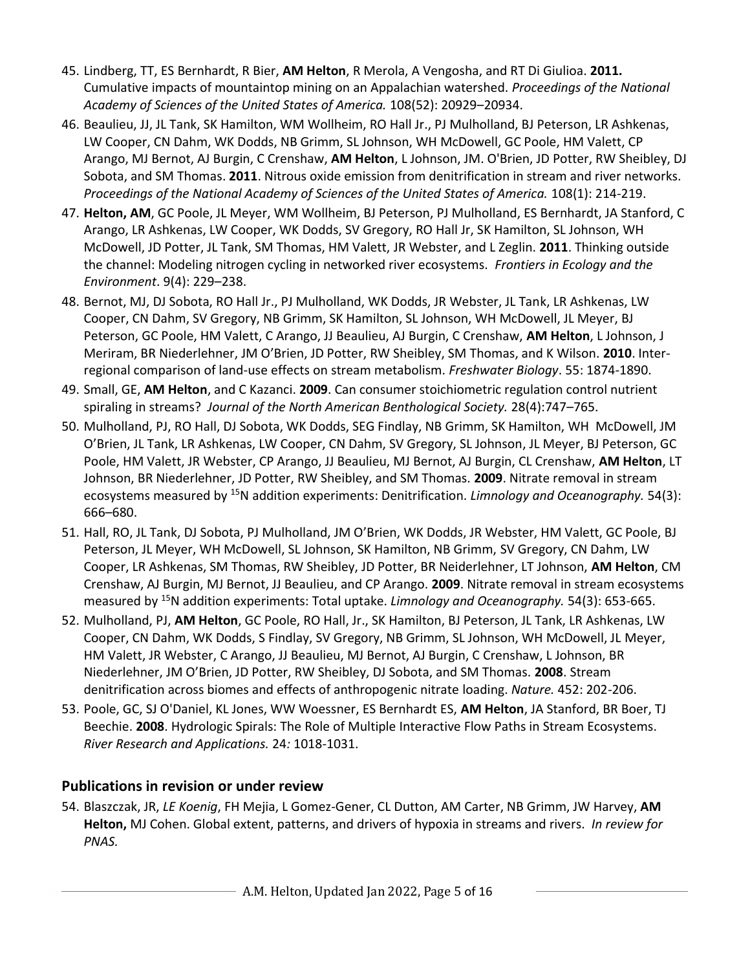- 45. Lindberg, TT, ES Bernhardt, R Bier, **AM Helton**, R Merola, A Vengosha, and RT Di Giulioa. **2011.** Cumulative impacts of mountaintop mining on an Appalachian watershed. *Proceedings of the National Academy of Sciences of the United States of America.* 108(52): 20929–20934.
- 46. Beaulieu, JJ, JL Tank, SK Hamilton, WM Wollheim, RO Hall Jr., PJ Mulholland, BJ Peterson, LR Ashkenas, LW Cooper, CN Dahm, WK Dodds, NB Grimm, SL Johnson, WH McDowell, GC Poole, HM Valett, CP Arango, MJ Bernot, AJ Burgin, C Crenshaw, **AM Helton**, L Johnson, JM. O'Brien, JD Potter, RW Sheibley, DJ Sobota, and SM Thomas. **2011**. Nitrous oxide emission from denitrification in stream and river networks. *Proceedings of the National Academy of Sciences of the United States of America.* 108(1): 214-219.
- 47. **Helton, AM**, GC Poole, JL Meyer, WM Wollheim, BJ Peterson, PJ Mulholland, ES Bernhardt, JA Stanford, C Arango, LR Ashkenas, LW Cooper, WK Dodds, SV Gregory, RO Hall Jr, SK Hamilton, SL Johnson, WH McDowell, JD Potter, JL Tank, SM Thomas, HM Valett, JR Webster, and L Zeglin. **2011**. Thinking outside the channel: Modeling nitrogen cycling in networked river ecosystems. *Frontiers in Ecology and the Environment*. 9(4): 229–238.
- 48. Bernot, MJ, DJ Sobota, RO Hall Jr., PJ Mulholland, WK Dodds, JR Webster, JL Tank, LR Ashkenas, LW Cooper, CN Dahm, SV Gregory, NB Grimm, SK Hamilton, SL Johnson, WH McDowell, JL Meyer, BJ Peterson, GC Poole, HM Valett, C Arango, JJ Beaulieu, AJ Burgin, C Crenshaw, **AM Helton**, L Johnson, J Meriram, BR Niederlehner, JM O'Brien, JD Potter, RW Sheibley, SM Thomas, and K Wilson. **2010**. Interregional comparison of land-use effects on stream metabolism. *Freshwater Biology*. 55: 1874-1890.
- 49. Small, GE, **AM Helton**, and C Kazanci. **2009**. Can consumer stoichiometric regulation control nutrient spiraling in streams? *Journal of the North American Benthological Society.* 28(4):747–765.
- 50. Mulholland, PJ, RO Hall, DJ Sobota, WK Dodds, SEG Findlay, NB Grimm, SK Hamilton, WH McDowell, JM O'Brien, JL Tank, LR Ashkenas, LW Cooper, CN Dahm, SV Gregory, SL Johnson, JL Meyer, BJ Peterson, GC Poole, HM Valett, JR Webster, CP Arango, JJ Beaulieu, MJ Bernot, AJ Burgin, CL Crenshaw, **AM Helton**, LT Johnson, BR Niederlehner, JD Potter, RW Sheibley, and SM Thomas. **2009**. Nitrate removal in stream ecosystems measured by <sup>15</sup>N addition experiments: Denitrification. *Limnology and Oceanography.* 54(3): 666–680.
- 51. Hall, RO, JL Tank, DJ Sobota, PJ Mulholland, JM O'Brien, WK Dodds, JR Webster, HM Valett, GC Poole, BJ Peterson, JL Meyer, WH McDowell, SL Johnson, SK Hamilton, NB Grimm, SV Gregory, CN Dahm, LW Cooper, LR Ashkenas, SM Thomas, RW Sheibley, JD Potter, BR Neiderlehner, LT Johnson, **AM Helton**, CM Crenshaw, AJ Burgin, MJ Bernot, JJ Beaulieu, and CP Arango. **2009**. Nitrate removal in stream ecosystems measured by <sup>15</sup>N addition experiments: Total uptake. *Limnology and Oceanography.* 54(3): 653-665.
- 52. Mulholland, PJ, **AM Helton**, GC Poole, RO Hall, Jr., SK Hamilton, BJ Peterson, JL Tank, LR Ashkenas, LW Cooper, CN Dahm, WK Dodds, S Findlay, SV Gregory, NB Grimm, SL Johnson, WH McDowell, JL Meyer, HM Valett, JR Webster, C Arango, JJ Beaulieu, MJ Bernot, AJ Burgin, C Crenshaw, L Johnson, BR Niederlehner, JM O'Brien, JD Potter, RW Sheibley, DJ Sobota, and SM Thomas. **2008**. Stream denitrification across biomes and effects of anthropogenic nitrate loading. *Nature.* 452: 202-206.
- 53. Poole, GC, SJ O'Daniel, KL Jones, WW Woessner, ES Bernhardt ES, **AM Helton**, JA Stanford, BR Boer, TJ Beechie. **2008**. Hydrologic Spirals: The Role of Multiple Interactive Flow Paths in Stream Ecosystems. *River Research and Applications.* 24*:* 1018-1031.

## **Publications in revision or under review**

54. Blaszczak, JR, *LE Koenig*, FH Mejia, L Gomez-Gener, CL Dutton, AM Carter, NB Grimm, JW Harvey, **AM Helton,** MJ Cohen. Global extent, patterns, and drivers of hypoxia in streams and rivers. *In review for PNAS.*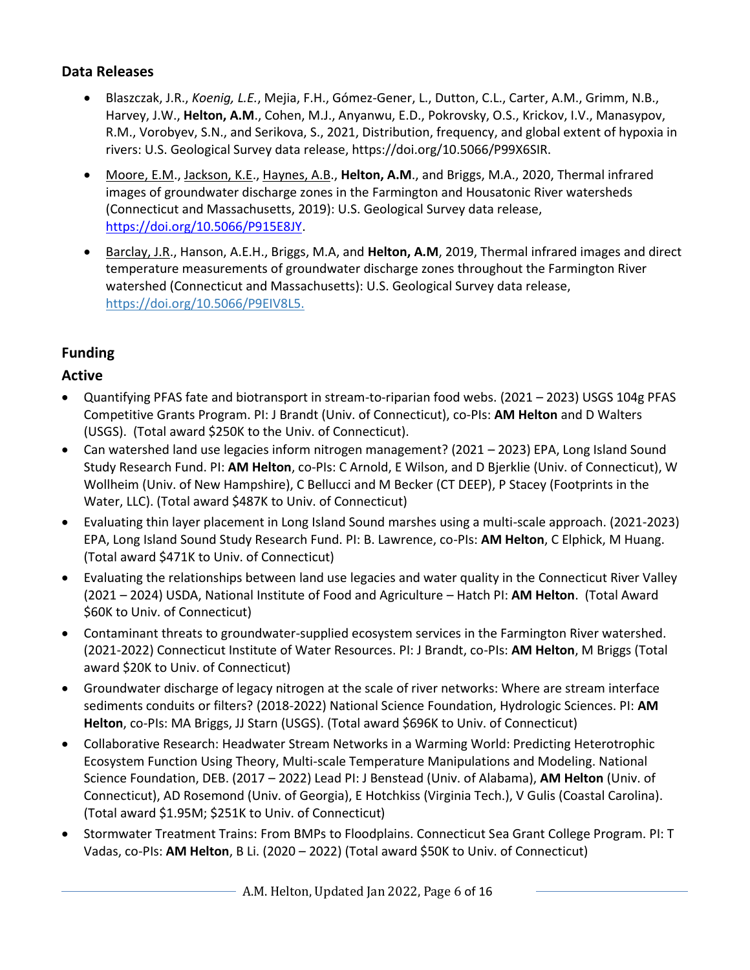### **Data Releases**

- Blaszczak, J.R., *Koenig, L.E.*, Mejia, F.H., Gómez-Gener, L., Dutton, C.L., Carter, A.M., Grimm, N.B., Harvey, J.W., **Helton, A.M**., Cohen, M.J., Anyanwu, E.D., Pokrovsky, O.S., Krickov, I.V., Manasypov, R.M., Vorobyev, S.N., and Serikova, S., 2021, Distribution, frequency, and global extent of hypoxia in rivers: U.S. Geological Survey data release, https://doi.org/10.5066/P99X6SIR.
- Moore, E.M., Jackson, K.E., Haynes, A.B., **Helton, A.M**., and Briggs, M.A., 2020, Thermal infrared images of groundwater discharge zones in the Farmington and Housatonic River watersheds (Connecticut and Massachusetts, 2019): U.S. Geological Survey data release, [https://doi.org/10.5066/P915E8JY.](https://doi.org/10.5066/P915E8JY)
- Barclay, J.R., Hanson, A.E.H., Briggs, M.A, and **Helton, A.M**, 2019, Thermal infrared images and direct temperature measurements of groundwater discharge zones throughout the Farmington River watershed (Connecticut and Massachusetts): U.S. Geological Survey data release, [https://doi.org/10.5066/P9EIV8L5.](https://nam10.safelinks.protection.outlook.com/?url=https%3A%2F%2Fdoi.org%2F10.5066%2FP9EIV8L5&data=02%7C01%7Cashley.helton%40uconn.edu%7C6ef8fd11925541e5369a08d785942be2%7C17f1a87e2a254eaab9df9d439034b080%7C0%7C0%7C637124743753394084&sdata=c8OVpFcldCBLSMF%2BCUlEfrh53QsE9I%2FFE0JOVBcsI0I%3D&reserved=0)

# **Funding**

## **Active**

- Quantifying PFAS fate and biotransport in stream-to-riparian food webs. (2021 2023) USGS 104g PFAS Competitive Grants Program. PI: J Brandt (Univ. of Connecticut), co-PIs: **AM Helton** and D Walters (USGS). (Total award \$250K to the Univ. of Connecticut).
- Can watershed land use legacies inform nitrogen management? (2021 2023) EPA, Long Island Sound Study Research Fund. PI: **AM Helton**, co-PIs: C Arnold, E Wilson, and D Bjerklie (Univ. of Connecticut), W Wollheim (Univ. of New Hampshire), C Bellucci and M Becker (CT DEEP), P Stacey (Footprints in the Water, LLC). (Total award \$487K to Univ. of Connecticut)
- Evaluating thin layer placement in Long Island Sound marshes using a multi-scale approach. (2021-2023) EPA, Long Island Sound Study Research Fund. PI: B. Lawrence, co-PIs: **AM Helton**, C Elphick, M Huang. (Total award \$471K to Univ. of Connecticut)
- Evaluating the relationships between land use legacies and water quality in the Connecticut River Valley (2021 – 2024) USDA, National Institute of Food and Agriculture – Hatch PI: **AM Helton**. (Total Award \$60K to Univ. of Connecticut)
- Contaminant threats to groundwater-supplied ecosystem services in the Farmington River watershed. (2021-2022) Connecticut Institute of Water Resources. PI: J Brandt, co-PIs: **AM Helton**, M Briggs (Total award \$20K to Univ. of Connecticut)
- Groundwater discharge of legacy nitrogen at the scale of river networks: Where are stream interface sediments conduits or filters? (2018-2022) National Science Foundation, Hydrologic Sciences. PI: **AM Helton**, co-PIs: MA Briggs, JJ Starn (USGS). (Total award \$696K to Univ. of Connecticut)
- Collaborative Research: Headwater Stream Networks in a Warming World: Predicting Heterotrophic Ecosystem Function Using Theory, Multi-scale Temperature Manipulations and Modeling. National Science Foundation, DEB. (2017 – 2022) Lead PI: J Benstead (Univ. of Alabama), **AM Helton** (Univ. of Connecticut), AD Rosemond (Univ. of Georgia), E Hotchkiss (Virginia Tech.), V Gulis (Coastal Carolina). (Total award \$1.95M; \$251K to Univ. of Connecticut)
- Stormwater Treatment Trains: From BMPs to Floodplains. Connecticut Sea Grant College Program. PI: T Vadas, co-PIs: **AM Helton**, B Li. (2020 – 2022) (Total award \$50K to Univ. of Connecticut)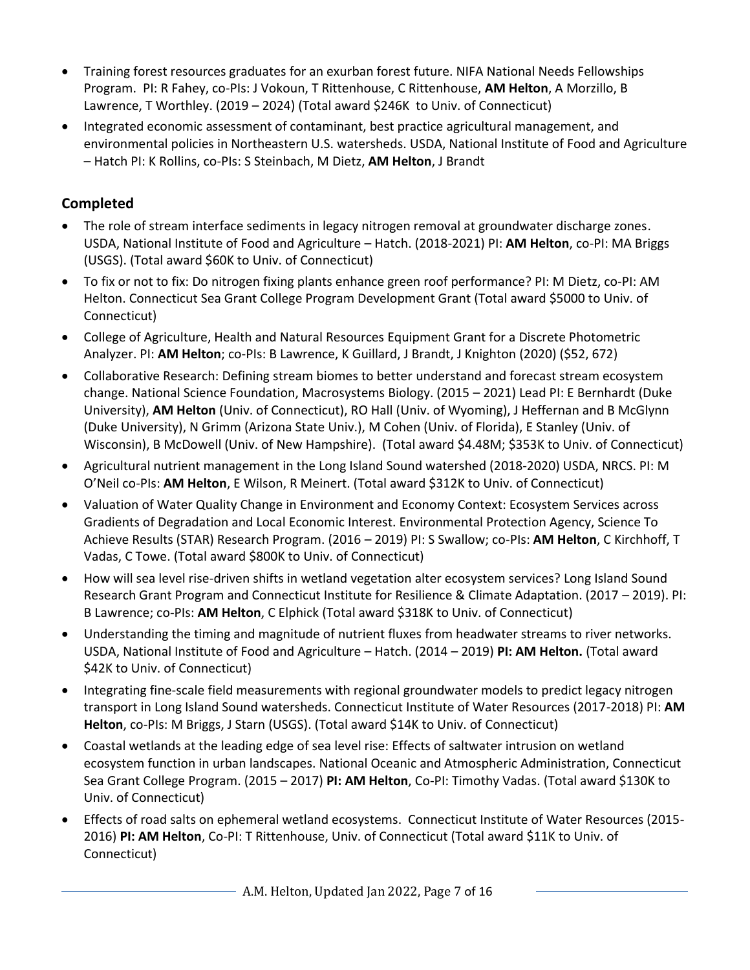- Training forest resources graduates for an exurban forest future. NIFA National Needs Fellowships Program. PI: R Fahey, co-PIs: J Vokoun, T Rittenhouse, C Rittenhouse, **AM Helton**, A Morzillo, B Lawrence, T Worthley. (2019 – 2024) (Total award \$246K to Univ. of Connecticut)
- Integrated economic assessment of contaminant, best practice agricultural management, and environmental policies in Northeastern U.S. watersheds. USDA, National Institute of Food and Agriculture – Hatch PI: K Rollins, co-PIs: S Steinbach, M Dietz, **AM Helton**, J Brandt

# **Completed**

- The role of stream interface sediments in legacy nitrogen removal at groundwater discharge zones. USDA, National Institute of Food and Agriculture – Hatch. (2018-2021) PI: **AM Helton**, co-PI: MA Briggs (USGS). (Total award \$60K to Univ. of Connecticut)
- To fix or not to fix: Do nitrogen fixing plants enhance green roof performance? PI: M Dietz, co-PI: AM Helton. Connecticut Sea Grant College Program Development Grant (Total award \$5000 to Univ. of Connecticut)
- College of Agriculture, Health and Natural Resources Equipment Grant for a Discrete Photometric Analyzer. PI: **AM Helton**; co-PIs: B Lawrence, K Guillard, J Brandt, J Knighton (2020) (\$52, 672)
- Collaborative Research: Defining stream biomes to better understand and forecast stream ecosystem change. National Science Foundation, Macrosystems Biology. (2015 – 2021) Lead PI: E Bernhardt (Duke University), **AM Helton** (Univ. of Connecticut), RO Hall (Univ. of Wyoming), J Heffernan and B McGlynn (Duke University), N Grimm (Arizona State Univ.), M Cohen (Univ. of Florida), E Stanley (Univ. of Wisconsin), B McDowell (Univ. of New Hampshire). (Total award \$4.48M; \$353K to Univ. of Connecticut)
- Agricultural nutrient management in the Long Island Sound watershed (2018-2020) USDA, NRCS. PI: M O'Neil co-PIs: **AM Helton**, E Wilson, R Meinert. (Total award \$312K to Univ. of Connecticut)
- Valuation of Water Quality Change in Environment and Economy Context: Ecosystem Services across Gradients of Degradation and Local Economic Interest. Environmental Protection Agency, Science To Achieve Results (STAR) Research Program. (2016 – 2019) PI: S Swallow; co-PIs: **AM Helton**, C Kirchhoff, T Vadas, C Towe. (Total award \$800K to Univ. of Connecticut)
- How will sea level rise-driven shifts in wetland vegetation alter ecosystem services? Long Island Sound Research Grant Program and Connecticut Institute for Resilience & Climate Adaptation. (2017 – 2019). PI: B Lawrence; co-PIs: **AM Helton**, C Elphick (Total award \$318K to Univ. of Connecticut)
- Understanding the timing and magnitude of nutrient fluxes from headwater streams to river networks. USDA, National Institute of Food and Agriculture – Hatch. (2014 – 2019) **PI: AM Helton.** (Total award \$42K to Univ. of Connecticut)
- Integrating fine-scale field measurements with regional groundwater models to predict legacy nitrogen transport in Long Island Sound watersheds. Connecticut Institute of Water Resources (2017-2018) PI: **AM Helton**, co-PIs: M Briggs, J Starn (USGS). (Total award \$14K to Univ. of Connecticut)
- Coastal wetlands at the leading edge of sea level rise: Effects of saltwater intrusion on wetland ecosystem function in urban landscapes. National Oceanic and Atmospheric Administration, Connecticut Sea Grant College Program. (2015 – 2017) **PI: AM Helton**, Co-PI: Timothy Vadas. (Total award \$130K to Univ. of Connecticut)
- Effects of road salts on ephemeral wetland ecosystems. Connecticut Institute of Water Resources (2015- 2016) **PI: AM Helton**, Co-PI: T Rittenhouse, Univ. of Connecticut (Total award \$11K to Univ. of Connecticut)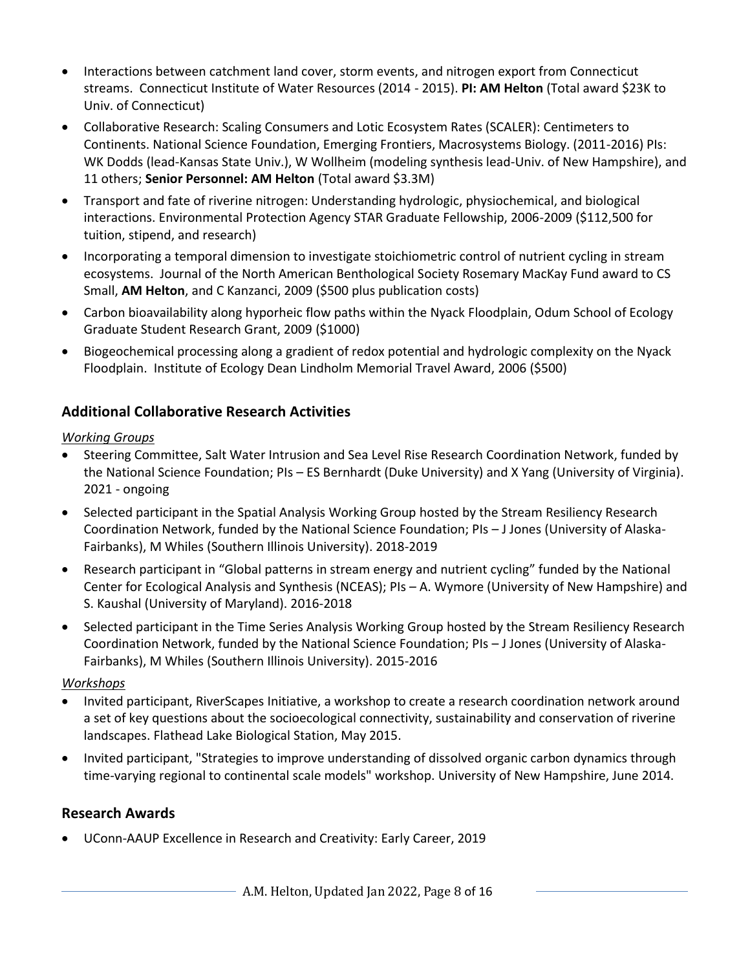- Interactions between catchment land cover, storm events, and nitrogen export from Connecticut streams. Connecticut Institute of Water Resources (2014 - 2015). **PI: AM Helton** (Total award \$23K to Univ. of Connecticut)
- Collaborative Research: Scaling Consumers and Lotic Ecosystem Rates (SCALER): Centimeters to Continents. National Science Foundation, Emerging Frontiers, Macrosystems Biology. (2011-2016) PIs: WK Dodds (lead-Kansas State Univ.), W Wollheim (modeling synthesis lead-Univ. of New Hampshire), and 11 others; **Senior Personnel: AM Helton** (Total award \$3.3M)
- Transport and fate of riverine nitrogen: Understanding hydrologic, physiochemical, and biological interactions. Environmental Protection Agency STAR Graduate Fellowship, 2006-2009 (\$112,500 for tuition, stipend, and research)
- Incorporating a temporal dimension to investigate stoichiometric control of nutrient cycling in stream ecosystems. Journal of the North American Benthological Society Rosemary MacKay Fund award to CS Small, **AM Helton**, and C Kanzanci, 2009 (\$500 plus publication costs)
- Carbon bioavailability along hyporheic flow paths within the Nyack Floodplain, Odum School of Ecology Graduate Student Research Grant, 2009 (\$1000)
- Biogeochemical processing along a gradient of redox potential and hydrologic complexity on the Nyack Floodplain. Institute of Ecology Dean Lindholm Memorial Travel Award, 2006 (\$500)

# **Additional Collaborative Research Activities**

### *Working Groups*

- Steering Committee, Salt Water Intrusion and Sea Level Rise Research Coordination Network, funded by the National Science Foundation; PIs – ES Bernhardt (Duke University) and X Yang (University of Virginia). 2021 - ongoing
- Selected participant in the Spatial Analysis Working Group hosted by the Stream Resiliency Research Coordination Network, funded by the National Science Foundation; PIs – J Jones (University of Alaska-Fairbanks), M Whiles (Southern Illinois University). 2018-2019
- Research participant in "Global patterns in stream energy and nutrient cycling" funded by the National Center for Ecological Analysis and Synthesis (NCEAS); PIs – A. Wymore (University of New Hampshire) and S. Kaushal (University of Maryland). 2016-2018
- Selected participant in the Time Series Analysis Working Group hosted by the Stream Resiliency Research Coordination Network, funded by the National Science Foundation; PIs – J Jones (University of Alaska-Fairbanks), M Whiles (Southern Illinois University). 2015-2016

## *Workshops*

- Invited participant, RiverScapes Initiative, a workshop to create a research coordination network around a set of key questions about the socioecological connectivity, sustainability and conservation of riverine landscapes. Flathead Lake Biological Station, May 2015.
- Invited participant, "Strategies to improve understanding of dissolved organic carbon dynamics through time-varying regional to continental scale models" workshop. University of New Hampshire, June 2014.

# **Research Awards**

• UConn-AAUP Excellence in Research and Creativity: Early Career, 2019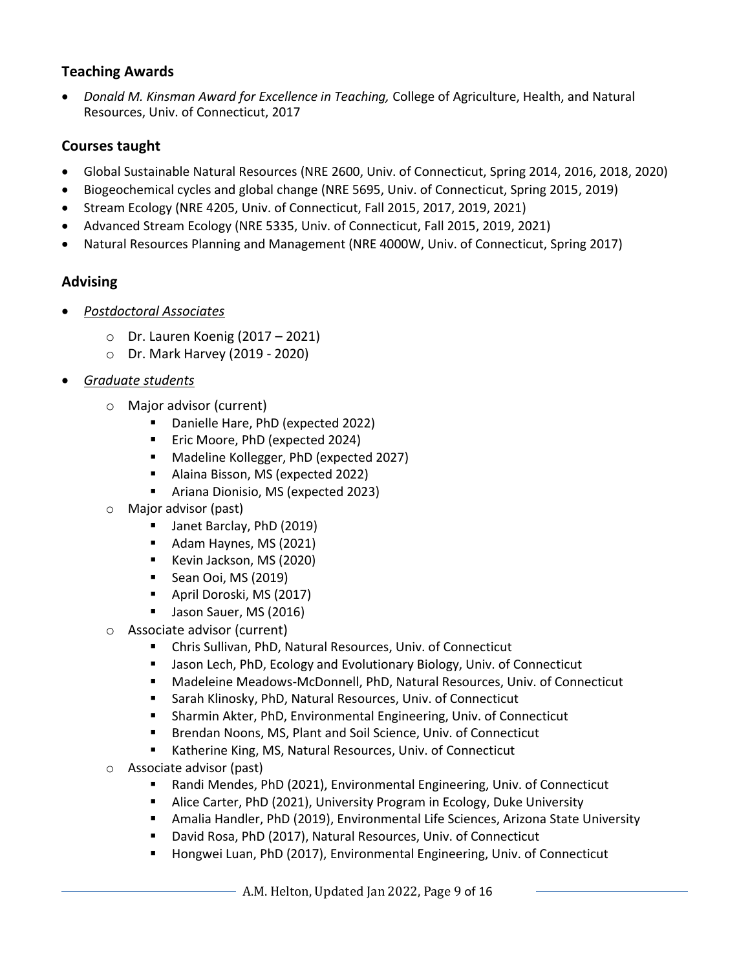#### **Teaching Awards**

• *Donald M. Kinsman Award for Excellence in Teaching,* College of Agriculture, Health, and Natural Resources, Univ. of Connecticut, 2017

# **Courses taught**

- Global Sustainable Natural Resources (NRE 2600, Univ. of Connecticut, Spring 2014, 2016, 2018, 2020)
- Biogeochemical cycles and global change (NRE 5695, Univ. of Connecticut, Spring 2015, 2019)
- Stream Ecology (NRE 4205, Univ. of Connecticut, Fall 2015, 2017, 2019, 2021)
- Advanced Stream Ecology (NRE 5335, Univ. of Connecticut, Fall 2015, 2019, 2021)
- Natural Resources Planning and Management (NRE 4000W, Univ. of Connecticut, Spring 2017)

# **Advising**

- *Postdoctoral Associates*
	- o Dr. Lauren Koenig (2017 2021)
	- o Dr. Mark Harvey (2019 2020)
- *Graduate students*
	- o Major advisor (current)
		- Danielle Hare, PhD (expected 2022)
		- Eric Moore, PhD (expected 2024)
		- Madeline Kollegger, PhD (expected 2027)
		- Alaina Bisson, MS (expected 2022)
		- Ariana Dionisio, MS (expected 2023)
	- o Major advisor (past)
		- Janet Barclay, PhD (2019)
		- Adam Haynes, MS (2021)
		- Kevin Jackson, MS (2020)
		- Sean Ooi, MS (2019)
		- April Doroski, MS (2017)
		- **■** Jason Sauer, MS (2016)
	- o Associate advisor (current)
		- Chris Sullivan, PhD, Natural Resources, Univ. of Connecticut
		- Jason Lech, PhD, Ecology and Evolutionary Biology, Univ. of Connecticut
		- Madeleine Meadows-McDonnell, PhD, Natural Resources, Univ. of Connecticut
		- Sarah Klinosky, PhD, Natural Resources, Univ. of Connecticut
		- Sharmin Akter, PhD, Environmental Engineering, Univ. of Connecticut
		- Brendan Noons, MS, Plant and Soil Science, Univ. of Connecticut
		- Katherine King, MS, Natural Resources, Univ. of Connecticut
	- o Associate advisor (past)
		- Randi Mendes, PhD (2021), Environmental Engineering, Univ. of Connecticut
		- Alice Carter, PhD (2021), University Program in Ecology, Duke University
		- Amalia Handler, PhD (2019), Environmental Life Sciences, Arizona State University
		- David Rosa, PhD (2017), Natural Resources, Univ. of Connecticut
		- Hongwei Luan, PhD (2017), Environmental Engineering, Univ. of Connecticut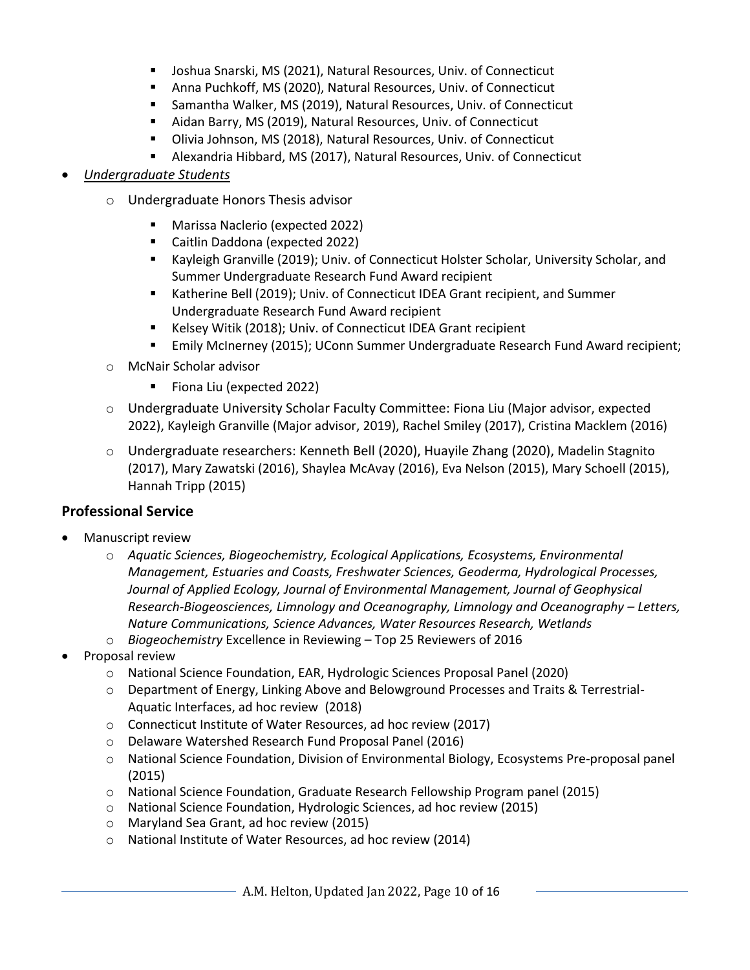- Joshua Snarski, MS (2021), Natural Resources, Univ. of Connecticut
- Anna Puchkoff, MS (2020), Natural Resources, Univ. of Connecticut
- Samantha Walker, MS (2019), Natural Resources, Univ. of Connecticut
- Aidan Barry, MS (2019), Natural Resources, Univ. of Connecticut
- Olivia Johnson, MS (2018), Natural Resources, Univ. of Connecticut
- Alexandria Hibbard, MS (2017), Natural Resources, Univ. of Connecticut

#### • *Undergraduate Students*

- o Undergraduate Honors Thesis advisor
	- Marissa Naclerio (expected 2022)
	- Caitlin Daddona (expected 2022)
	- Kayleigh Granville (2019); Univ. of Connecticut Holster Scholar, University Scholar, and Summer Undergraduate Research Fund Award recipient
	- Katherine Bell (2019); Univ. of Connecticut IDEA Grant recipient, and Summer Undergraduate Research Fund Award recipient
	- Kelsey Witik (2018); Univ. of Connecticut IDEA Grant recipient
	- Emily McInerney (2015); UConn Summer Undergraduate Research Fund Award recipient;
- o McNair Scholar advisor
	- Fiona Liu (expected 2022)
- o Undergraduate University Scholar Faculty Committee: Fiona Liu (Major advisor, expected 2022), Kayleigh Granville (Major advisor, 2019), Rachel Smiley (2017), Cristina Macklem (2016)
- o Undergraduate researchers: Kenneth Bell (2020), Huayile Zhang (2020), Madelin Stagnito (2017), Mary Zawatski (2016), Shaylea McAvay (2016), Eva Nelson (2015), Mary Schoell (2015), Hannah Tripp (2015)

#### **Professional Service**

- Manuscript review
	- o *Aquatic Sciences, Biogeochemistry, Ecological Applications, Ecosystems, Environmental Management, Estuaries and Coasts, Freshwater Sciences, Geoderma, Hydrological Processes, Journal of Applied Ecology, Journal of Environmental Management, Journal of Geophysical Research-Biogeosciences, Limnology and Oceanography, Limnology and Oceanography – Letters, Nature Communications, Science Advances, Water Resources Research, Wetlands*
	- o *Biogeochemistry* Excellence in Reviewing Top 25 Reviewers of 2016
- Proposal review
	- o National Science Foundation, EAR, Hydrologic Sciences Proposal Panel (2020)
	- o Department of Energy, Linking Above and Belowground Processes and Traits & Terrestrial-Aquatic Interfaces, ad hoc review (2018)
	- o Connecticut Institute of Water Resources, ad hoc review (2017)
	- o Delaware Watershed Research Fund Proposal Panel (2016)
	- o National Science Foundation, Division of Environmental Biology, Ecosystems Pre-proposal panel (2015)
	- o National Science Foundation, Graduate Research Fellowship Program panel (2015)
	- o National Science Foundation, Hydrologic Sciences, ad hoc review (2015)
	- o Maryland Sea Grant, ad hoc review (2015)
	- o National Institute of Water Resources, ad hoc review (2014)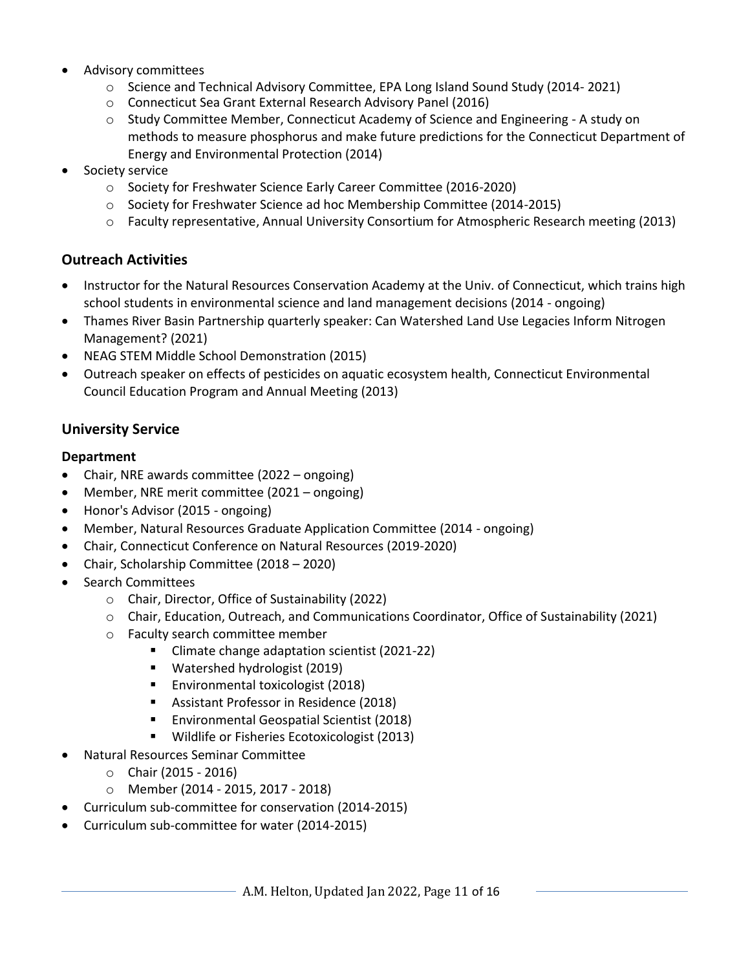- Advisory committees
	- o Science and Technical Advisory Committee, EPA Long Island Sound Study (2014- 2021)
	- o Connecticut Sea Grant External Research Advisory Panel (2016)
	- o Study Committee Member, Connecticut Academy of Science and Engineering A study on methods to measure phosphorus and make future predictions for the Connecticut Department of Energy and Environmental Protection (2014)
- Society service
	- o Society for Freshwater Science Early Career Committee (2016-2020)
	- o Society for Freshwater Science ad hoc Membership Committee (2014-2015)
	- o Faculty representative, Annual University Consortium for Atmospheric Research meeting (2013)

### **Outreach Activities**

- Instructor for the Natural Resources Conservation Academy at the Univ. of Connecticut, which trains high school students in environmental science and land management decisions (2014 - ongoing)
- Thames River Basin Partnership quarterly speaker: Can Watershed Land Use Legacies Inform Nitrogen Management? (2021)
- NEAG STEM Middle School Demonstration (2015)
- Outreach speaker on effects of pesticides on aquatic ecosystem health, Connecticut Environmental Council Education Program and Annual Meeting (2013)

### **University Service**

#### **Department**

- Chair, NRE awards committee (2022 ongoing)
- Member, NRE merit committee (2021 ongoing)
- Honor's Advisor (2015 ongoing)
- Member, Natural Resources Graduate Application Committee (2014 ongoing)
- Chair, Connecticut Conference on Natural Resources (2019-2020)
- Chair, Scholarship Committee (2018 2020)
- Search Committees
	- o Chair, Director, Office of Sustainability (2022)
	- o Chair, Education, Outreach, and Communications Coordinator, Office of Sustainability (2021)
	- o Faculty search committee member
		- Climate change adaptation scientist (2021-22)
		- Watershed hydrologist (2019)
		- **Environmental toxicologist (2018)**
		- Assistant Professor in Residence (2018)
		- Environmental Geospatial Scientist (2018)
		- Wildlife or Fisheries Ecotoxicologist (2013)
- Natural Resources Seminar Committee
	- $\circ$  Chair (2015 2016)
	- o Member (2014 2015, 2017 2018)
- Curriculum sub-committee for conservation (2014-2015)
- Curriculum sub-committee for water (2014-2015)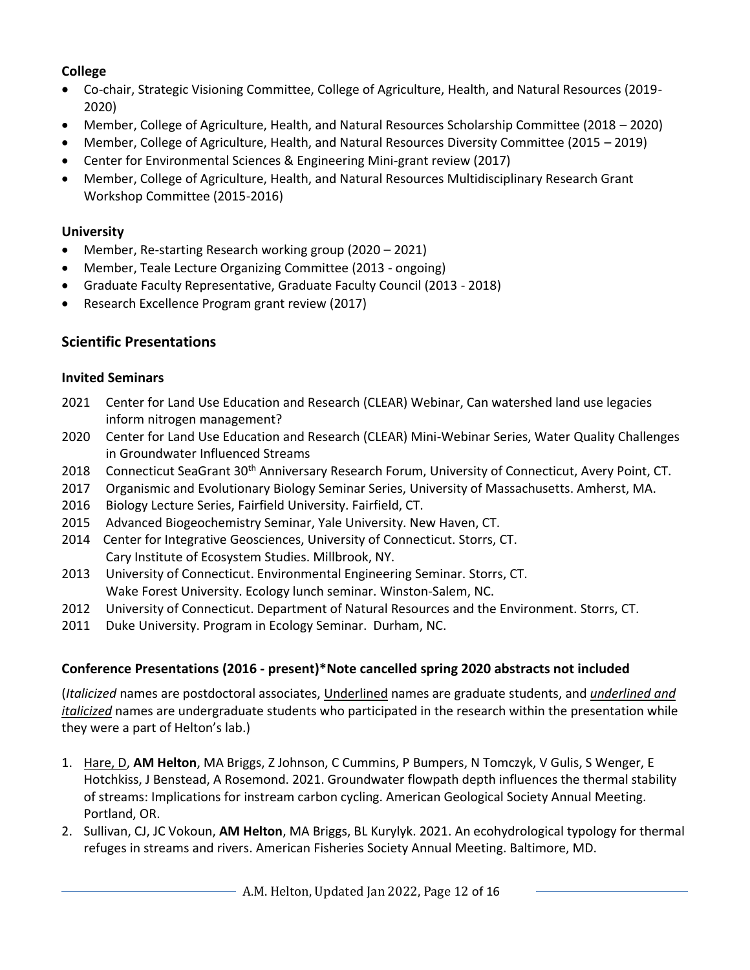## **College**

- Co-chair, Strategic Visioning Committee, College of Agriculture, Health, and Natural Resources (2019- 2020)
- Member, College of Agriculture, Health, and Natural Resources Scholarship Committee (2018 2020)
- Member, College of Agriculture, Health, and Natural Resources Diversity Committee (2015 2019)
- Center for Environmental Sciences & Engineering Mini-grant review (2017)
- Member, College of Agriculture, Health, and Natural Resources Multidisciplinary Research Grant Workshop Committee (2015-2016)

#### **University**

- Member, Re-starting Research working group (2020 2021)
- Member, Teale Lecture Organizing Committee (2013 ongoing)
- Graduate Faculty Representative, Graduate Faculty Council (2013 2018)
- Research Excellence Program grant review (2017)

# **Scientific Presentations**

#### **Invited Seminars**

- 2021 Center for Land Use Education and Research (CLEAR) Webinar, Can watershed land use legacies inform nitrogen management?
- 2020 Center for Land Use Education and Research (CLEAR) Mini-Webinar Series, Water Quality Challenges in Groundwater Influenced Streams
- 2018 Connecticut SeaGrant 30<sup>th</sup> Anniversary Research Forum, University of Connecticut, Avery Point, CT.
- 2017 Organismic and Evolutionary Biology Seminar Series, University of Massachusetts. Amherst, MA.
- 2016 Biology Lecture Series, Fairfield University. Fairfield, CT.
- 2015 Advanced Biogeochemistry Seminar, Yale University. New Haven, CT.
- 2014 Center for Integrative Geosciences, University of Connecticut. Storrs, CT. Cary Institute of Ecosystem Studies. Millbrook, NY.
- 2013 University of Connecticut. Environmental Engineering Seminar. Storrs, CT. Wake Forest University. Ecology lunch seminar. Winston-Salem, NC.
- 2012 University of Connecticut. Department of Natural Resources and the Environment. Storrs, CT.
- 2011 Duke University. Program in Ecology Seminar. Durham, NC.

## **Conference Presentations (2016 - present)\*Note cancelled spring 2020 abstracts not included**

(*Italicized* names are postdoctoral associates, Underlined names are graduate students, and *underlined and italicized* names are undergraduate students who participated in the research within the presentation while they were a part of Helton's lab.)

- 1. Hare, D, **AM Helton**, MA Briggs, Z Johnson, C Cummins, P Bumpers, N Tomczyk, V Gulis, S Wenger, E Hotchkiss, J Benstead, A Rosemond. 2021. Groundwater flowpath depth influences the thermal stability of streams: Implications for instream carbon cycling. American Geological Society Annual Meeting. Portland, OR.
- 2. Sullivan, CJ, JC Vokoun, **AM Helton**, MA Briggs, BL Kurylyk. 2021. An ecohydrological typology for thermal refuges in streams and rivers. American Fisheries Society Annual Meeting. Baltimore, MD.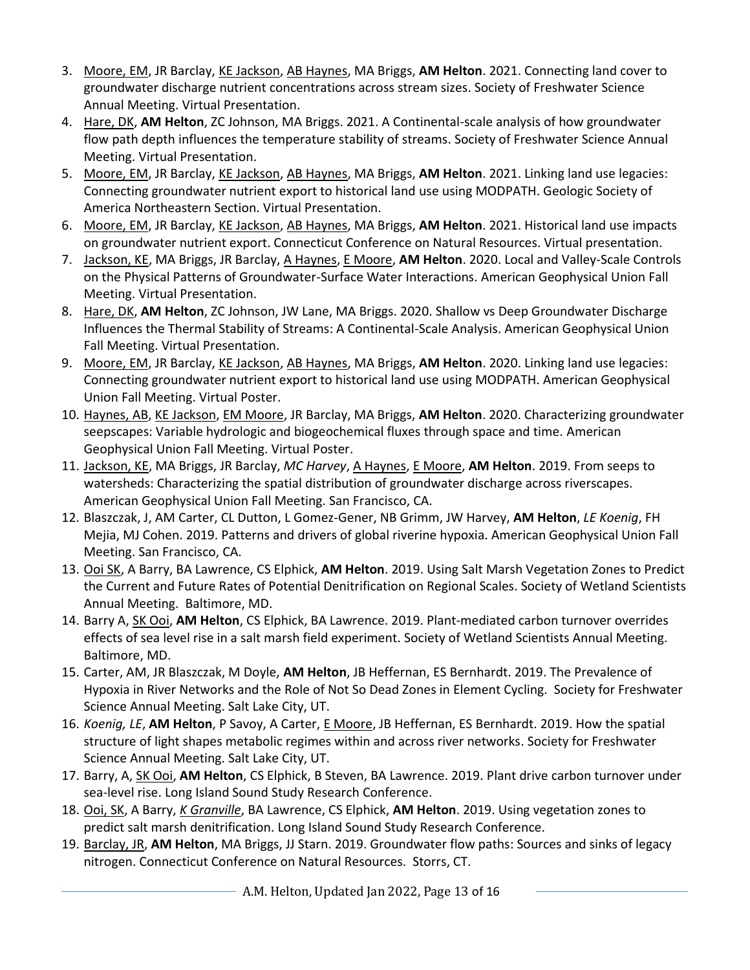- 3. Moore, EM, JR Barclay, KE Jackson, AB Haynes, MA Briggs, **AM Helton**. 2021. Connecting land cover to groundwater discharge nutrient concentrations across stream sizes. Society of Freshwater Science Annual Meeting. Virtual Presentation.
- 4. Hare, DK, **AM Helton**, ZC Johnson, MA Briggs. 2021. A Continental-scale analysis of how groundwater flow path depth influences the temperature stability of streams. Society of Freshwater Science Annual Meeting. Virtual Presentation.
- 5. Moore, EM, JR Barclay, KE Jackson, AB Haynes, MA Briggs, **AM Helton**. 2021. Linking land use legacies: Connecting groundwater nutrient export to historical land use using MODPATH. Geologic Society of America Northeastern Section. Virtual Presentation.
- 6. Moore, EM, JR Barclay, KE Jackson, AB Haynes, MA Briggs, **AM Helton**. 2021. Historical land use impacts on groundwater nutrient export. Connecticut Conference on Natural Resources. Virtual presentation.
- 7. Jackson, KE, MA Briggs, JR Barclay, A Haynes, E Moore, **AM Helton**. 2020. Local and Valley-Scale Controls on the Physical Patterns of Groundwater-Surface Water Interactions. American Geophysical Union Fall Meeting. Virtual Presentation.
- 8. Hare, DK, **AM Helton**, ZC Johnson, JW Lane, MA Briggs. 2020. Shallow vs Deep Groundwater Discharge Influences the Thermal Stability of Streams: A Continental-Scale Analysis. American Geophysical Union Fall Meeting. Virtual Presentation.
- 9. Moore, EM, JR Barclay, KE Jackson, AB Haynes, MA Briggs, **AM Helton**. 2020. Linking land use legacies: Connecting groundwater nutrient export to historical land use using MODPATH. American Geophysical Union Fall Meeting. Virtual Poster.
- 10. Haynes, AB, KE Jackson, EM Moore, JR Barclay, MA Briggs, **AM Helton**. 2020. Characterizing groundwater seepscapes: Variable hydrologic and biogeochemical fluxes through space and time. American Geophysical Union Fall Meeting. Virtual Poster.
- 11. Jackson, KE, MA Briggs, JR Barclay, *MC Harvey*, A Haynes, E Moore, **AM Helton**. 2019. From seeps to watersheds: Characterizing the spatial distribution of groundwater discharge across riverscapes. American Geophysical Union Fall Meeting. San Francisco, CA.
- 12. Blaszczak, J, AM Carter, CL Dutton, L Gomez-Gener, NB Grimm, JW Harvey, **AM Helton**, *LE Koenig*, FH Mejia, MJ Cohen. 2019. Patterns and drivers of global riverine hypoxia. American Geophysical Union Fall Meeting. San Francisco, CA.
- 13. Ooi SK, A Barry, BA Lawrence, CS Elphick, **AM Helton**. 2019. Using Salt Marsh Vegetation Zones to Predict the Current and Future Rates of Potential Denitrification on Regional Scales. Society of Wetland Scientists Annual Meeting. Baltimore, MD.
- 14. Barry A, SK Ooi, **AM Helton**, CS Elphick, BA Lawrence. 2019. Plant-mediated carbon turnover overrides effects of sea level rise in a salt marsh field experiment. Society of Wetland Scientists Annual Meeting. Baltimore, MD.
- 15. Carter, AM, JR Blaszczak, M Doyle, **AM Helton**, JB Heffernan, ES Bernhardt. 2019. The Prevalence of Hypoxia in River Networks and the Role of Not So Dead Zones in Element Cycling. Society for Freshwater Science Annual Meeting. Salt Lake City, UT.
- 16. *Koenig, LE*, **AM Helton**, P Savoy, A Carter, E Moore, JB Heffernan, ES Bernhardt. 2019. How the spatial structure of light shapes metabolic regimes within and across river networks. Society for Freshwater Science Annual Meeting. Salt Lake City, UT.
- 17. Barry, A, SK Ooi, **AM Helton**, CS Elphick, B Steven, BA Lawrence. 2019. Plant drive carbon turnover under sea-level rise. Long Island Sound Study Research Conference.
- 18. Ooi, SK, A Barry, *K Granville*, BA Lawrence, CS Elphick, **AM Helton**. 2019. Using vegetation zones to predict salt marsh denitrification. Long Island Sound Study Research Conference.
- 19. Barclay, JR, **AM Helton**, MA Briggs, JJ Starn. 2019. Groundwater flow paths: Sources and sinks of legacy nitrogen. Connecticut Conference on Natural Resources. Storrs, CT.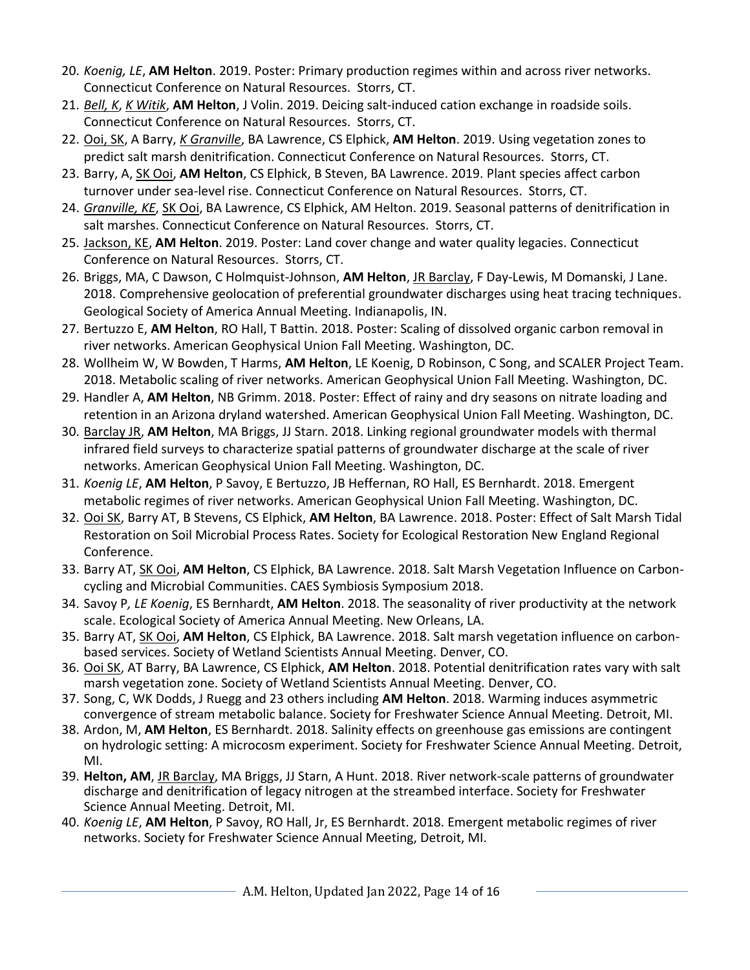- 20. *Koenig, LE*, **AM Helton**. 2019. Poster: Primary production regimes within and across river networks. Connecticut Conference on Natural Resources. Storrs, CT.
- 21. *Bell, K*, *K Witik*, **AM Helton**, J Volin. 2019. Deicing salt-induced cation exchange in roadside soils. Connecticut Conference on Natural Resources. Storrs, CT.
- 22. Ooi, SK, A Barry, *K Granville*, BA Lawrence, CS Elphick, **AM Helton**. 2019. Using vegetation zones to predict salt marsh denitrification. Connecticut Conference on Natural Resources. Storrs, CT.
- 23. Barry, A, SK Ooi, **AM Helton**, CS Elphick, B Steven, BA Lawrence. 2019. Plant species affect carbon turnover under sea-level rise. Connecticut Conference on Natural Resources. Storrs, CT.
- 24. *Granville, KE*, SK Ooi, BA Lawrence, CS Elphick, AM Helton. 2019. Seasonal patterns of denitrification in salt marshes. Connecticut Conference on Natural Resources. Storrs, CT.
- 25. Jackson, KE, **AM Helton**. 2019. Poster: Land cover change and water quality legacies. Connecticut Conference on Natural Resources. Storrs, CT.
- 26. Briggs, MA, C Dawson, C Holmquist-Johnson, **AM Helton**, JR Barclay, F Day-Lewis, M Domanski, J Lane. 2018. Comprehensive geolocation of preferential groundwater discharges using heat tracing techniques. Geological Society of America Annual Meeting. Indianapolis, IN.
- 27. Bertuzzo E, **AM Helton**, RO Hall, T Battin. 2018. Poster: Scaling of dissolved organic carbon removal in river networks. American Geophysical Union Fall Meeting. Washington, DC.
- 28. Wollheim W, W Bowden, T Harms, **AM Helton**, LE Koenig, D Robinson, C Song, and SCALER Project Team. 2018. Metabolic scaling of river networks. American Geophysical Union Fall Meeting. Washington, DC.
- 29. Handler A, **AM Helton**, NB Grimm. 2018. Poster: Effect of rainy and dry seasons on nitrate loading and retention in an Arizona dryland watershed. American Geophysical Union Fall Meeting. Washington, DC.
- 30. Barclay JR, **AM Helton**, MA Briggs, JJ Starn. 2018. Linking regional groundwater models with thermal infrared field surveys to characterize spatial patterns of groundwater discharge at the scale of river networks. American Geophysical Union Fall Meeting. Washington, DC.
- 31. *Koenig LE*, **AM Helton**, P Savoy, E Bertuzzo, JB Heffernan, RO Hall, ES Bernhardt. 2018. Emergent metabolic regimes of river networks. American Geophysical Union Fall Meeting. Washington, DC.
- 32. Ooi SK, Barry AT, B Stevens, CS Elphick, **AM Helton**, BA Lawrence. 2018. Poster: Effect of Salt Marsh Tidal Restoration on Soil Microbial Process Rates. Society for Ecological Restoration New England Regional Conference.
- 33. Barry AT, SK Ooi, **AM Helton**, CS Elphick, BA Lawrence. 2018. Salt Marsh Vegetation Influence on Carboncycling and Microbial Communities. CAES Symbiosis Symposium 2018.
- 34. Savoy P*, LE Koenig*, ES Bernhardt, **AM Helton**. 2018. The seasonality of river productivity at the network scale. Ecological Society of America Annual Meeting. New Orleans, LA.
- 35. Barry AT, SK Ooi, **AM Helton**, CS Elphick, BA Lawrence. 2018. Salt marsh vegetation influence on carbonbased services. Society of Wetland Scientists Annual Meeting. Denver, CO.
- 36. Ooi SK, AT Barry, BA Lawrence, CS Elphick, **AM Helton**. 2018. Potential denitrification rates vary with salt marsh vegetation zone. Society of Wetland Scientists Annual Meeting. Denver, CO.
- 37. Song, C, WK Dodds, J Ruegg and 23 others including **AM Helton**. 2018. Warming induces asymmetric convergence of stream metabolic balance. Society for Freshwater Science Annual Meeting. Detroit, MI.
- 38. Ardon, M, **AM Helton**, ES Bernhardt. 2018. Salinity effects on greenhouse gas emissions are contingent on hydrologic setting: A microcosm experiment. Society for Freshwater Science Annual Meeting. Detroit, MI.
- 39. **Helton, AM**, JR Barclay, MA Briggs, JJ Starn, A Hunt. 2018. River network-scale patterns of groundwater discharge and denitrification of legacy nitrogen at the streambed interface. Society for Freshwater Science Annual Meeting. Detroit, MI.
- 40. *Koenig LE*, **AM Helton**, P Savoy, RO Hall, Jr, ES Bernhardt. 2018. Emergent metabolic regimes of river networks. Society for Freshwater Science Annual Meeting, Detroit, MI.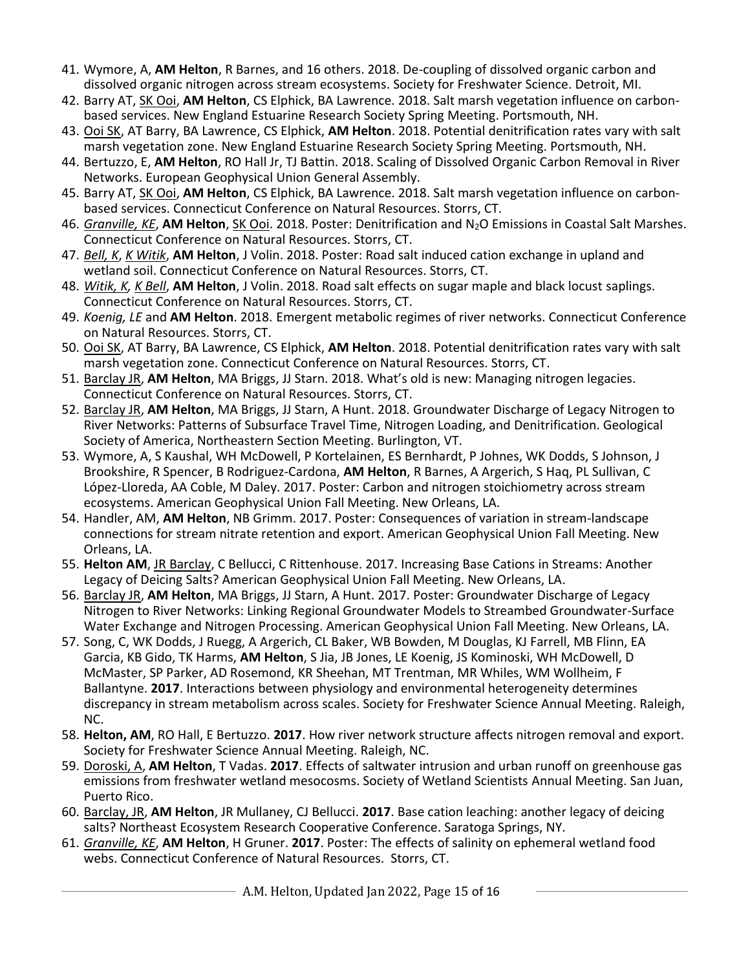- 41. Wymore, A, **AM Helton**, R Barnes, and 16 others. 2018. De-coupling of dissolved organic carbon and dissolved organic nitrogen across stream ecosystems. Society for Freshwater Science. Detroit, MI.
- 42. Barry AT, SK Ooi, **AM Helton**, CS Elphick, BA Lawrence. 2018. Salt marsh vegetation influence on carbonbased services. New England Estuarine Research Society Spring Meeting. Portsmouth, NH.
- 43. Ooi SK, AT Barry, BA Lawrence, CS Elphick, **AM Helton**. 2018. Potential denitrification rates vary with salt marsh vegetation zone. New England Estuarine Research Society Spring Meeting. Portsmouth, NH.
- 44. Bertuzzo, E, **AM Helton**, RO Hall Jr, TJ Battin. 2018. Scaling of Dissolved Organic Carbon Removal in River Networks. European Geophysical Union General Assembly.
- 45. Barry AT, SK Ooi, **AM Helton**, CS Elphick, BA Lawrence. 2018. Salt marsh vegetation influence on carbonbased services. Connecticut Conference on Natural Resources. Storrs, CT.
- 46. *Granville, KE*, **AM Helton**, SK Ooi. 2018. Poster: Denitrification and N2O Emissions in Coastal Salt Marshes. Connecticut Conference on Natural Resources. Storrs, CT.
- 47. *Bell, K*, *K Witik*, **AM Helton**, J Volin. 2018. Poster: Road salt induced cation exchange in upland and wetland soil. Connecticut Conference on Natural Resources. Storrs, CT.
- 48. *Witik, K, K Bell*, **AM Helton**, J Volin. 2018. Road salt effects on sugar maple and black locust saplings. Connecticut Conference on Natural Resources. Storrs, CT.
- 49. *Koenig, LE* and **AM Helton**. 2018. Emergent metabolic regimes of river networks. Connecticut Conference on Natural Resources. Storrs, CT.
- 50. Ooi SK, AT Barry, BA Lawrence, CS Elphick, **AM Helton**. 2018. Potential denitrification rates vary with salt marsh vegetation zone. Connecticut Conference on Natural Resources. Storrs, CT.
- 51. Barclay JR, **AM Helton**, MA Briggs, JJ Starn. 2018. What's old is new: Managing nitrogen legacies. Connecticut Conference on Natural Resources. Storrs, CT.
- 52. Barclay JR, **AM Helton**, MA Briggs, JJ Starn, A Hunt. 2018. Groundwater Discharge of Legacy Nitrogen to River Networks: Patterns of Subsurface Travel Time, Nitrogen Loading, and Denitrification. Geological Society of America, Northeastern Section Meeting. Burlington, VT.
- 53. Wymore, A, S Kaushal, WH McDowell, P Kortelainen, ES Bernhardt, P Johnes, WK Dodds, S Johnson, J Brookshire, R Spencer, B Rodriguez-Cardona, **AM Helton**, R Barnes, A Argerich, S Haq, PL Sullivan, C López-Lloreda, AA Coble, M Daley. 2017. Poster: Carbon and nitrogen stoichiometry across stream ecosystems. American Geophysical Union Fall Meeting. New Orleans, LA.
- 54. Handler, AM, **AM Helton**, NB Grimm. 2017. Poster: Consequences of variation in stream-landscape connections for stream nitrate retention and export. American Geophysical Union Fall Meeting. New Orleans, LA.
- 55. **Helton AM**, JR Barclay, C Bellucci, C Rittenhouse. 2017. Increasing Base Cations in Streams: Another Legacy of Deicing Salts? American Geophysical Union Fall Meeting. New Orleans, LA.
- 56. Barclay JR, **AM Helton**, MA Briggs, JJ Starn, A Hunt. 2017. Poster: Groundwater Discharge of Legacy Nitrogen to River Networks: Linking Regional Groundwater Models to Streambed Groundwater-Surface Water Exchange and Nitrogen Processing. American Geophysical Union Fall Meeting. New Orleans, LA.
- 57. Song, C, WK Dodds, J Ruegg, A Argerich, CL Baker, WB Bowden, M Douglas, KJ Farrell, MB Flinn, EA Garcia, KB Gido, TK Harms, **AM Helton**, S Jia, JB Jones, LE Koenig, JS Kominoski, WH McDowell, D McMaster, SP Parker, AD Rosemond, KR Sheehan, MT Trentman, MR Whiles, WM Wollheim, F Ballantyne. **2017**. Interactions between physiology and environmental heterogeneity determines discrepancy in stream metabolism across scales. Society for Freshwater Science Annual Meeting. Raleigh, NC.
- 58. **Helton, AM**, RO Hall, E Bertuzzo. **2017**. How river network structure affects nitrogen removal and export. Society for Freshwater Science Annual Meeting. Raleigh, NC.
- 59. Doroski, A, **AM Helton**, T Vadas. **2017**. Effects of saltwater intrusion and urban runoff on greenhouse gas emissions from freshwater wetland mesocosms. Society of Wetland Scientists Annual Meeting. San Juan, Puerto Rico.
- 60. Barclay, JR, **AM Helton**, JR Mullaney, CJ Bellucci. **2017**. Base cation leaching: another legacy of deicing salts? Northeast Ecosystem Research Cooperative Conference. Saratoga Springs, NY.
- 61. *Granville, KE*, **AM Helton**, H Gruner. **2017**. Poster: The effects of salinity on ephemeral wetland food webs. Connecticut Conference of Natural Resources. Storrs, CT.